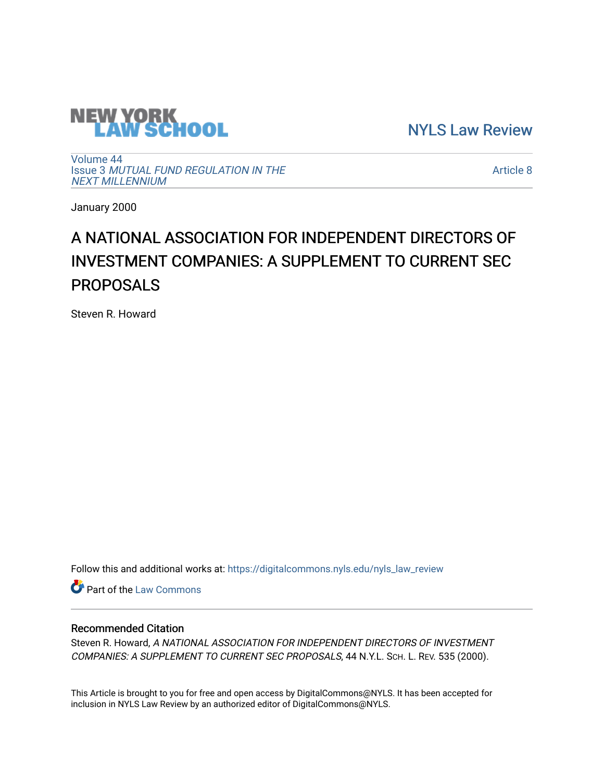

[NYLS Law Review](https://digitalcommons.nyls.edu/nyls_law_review) 

[Volume 44](https://digitalcommons.nyls.edu/nyls_law_review/vol44) Issue 3 [MUTUAL FUND REGULATION IN THE](https://digitalcommons.nyls.edu/nyls_law_review/vol44/iss3)  [NEXT MILLENNIUM](https://digitalcommons.nyls.edu/nyls_law_review/vol44/iss3)

[Article 8](https://digitalcommons.nyls.edu/nyls_law_review/vol44/iss3/8) 

January 2000

## A NATIONAL ASSOCIATION FOR INDEPENDENT DIRECTORS OF INVESTMENT COMPANIES: A SUPPLEMENT TO CURRENT SEC PROPOSALS

Steven R. Howard

Follow this and additional works at: [https://digitalcommons.nyls.edu/nyls\\_law\\_review](https://digitalcommons.nyls.edu/nyls_law_review?utm_source=digitalcommons.nyls.edu%2Fnyls_law_review%2Fvol44%2Fiss3%2F8&utm_medium=PDF&utm_campaign=PDFCoverPages) 

**Part of the [Law Commons](https://network.bepress.com/hgg/discipline/578?utm_source=digitalcommons.nyls.edu%2Fnyls_law_review%2Fvol44%2Fiss3%2F8&utm_medium=PDF&utm_campaign=PDFCoverPages)** 

## Recommended Citation

Steven R. Howard, A NATIONAL ASSOCIATION FOR INDEPENDENT DIRECTORS OF INVESTMENT COMPANIES: A SUPPLEMENT TO CURRENT SEC PROPOSALS, 44 N.Y.L. SCH. L. REV. 535 (2000).

This Article is brought to you for free and open access by DigitalCommons@NYLS. It has been accepted for inclusion in NYLS Law Review by an authorized editor of DigitalCommons@NYLS.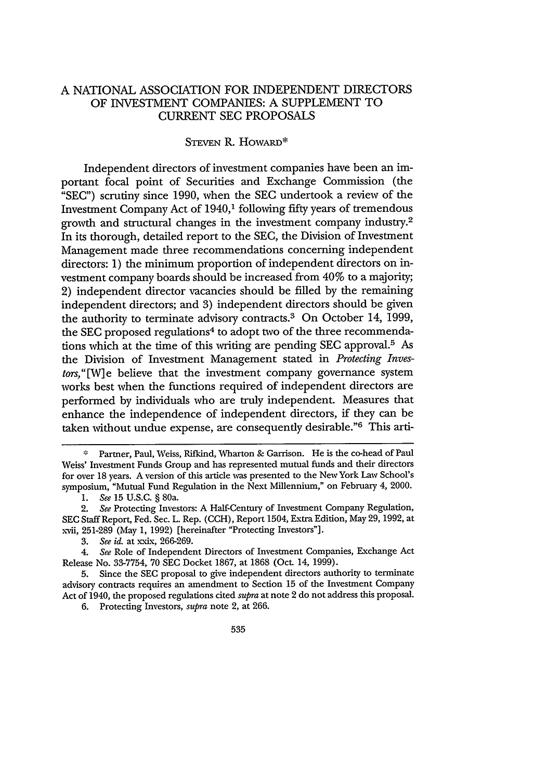## A NATIONAL ASSOCIATION FOR INDEPENDENT DIRECTORS OF INVESTMENT COMPANIES: A SUPPLEMENT TO CURRENT SEC PROPOSALS

## STEVEN R. HowARD\*

Independent directors of investment companies have been an important focal point of Securities and Exchange Commission (the "SEC") scrutiny since 1990, when the SEC undertook a review of the Investment Company Act of 1940,<sup>1</sup> following fifty years of tremendous growth and structural changes in the investment company industry. <sup>2</sup> In its thorough, detailed report to the SEC, the Division of Investment Management made three recommendations concerning independent directors: 1) the minimum proportion of independent directors on investment company boards should be increased from 40% to a majority; 2) independent director vacancies should be filled by the remaining independent directors; and 3) independent directors should be given the authority to terminate advisory contracts.<sup>3</sup> On October 14, 1999, the SEC proposed regulations<sup>4</sup> to adopt two of the three recommendations which at the time of this writing are pending SEC approval.5 As the Division of Investment Management stated in *Protecting Investors,"[W]e* believe that the investment company governance system works best when the functions required of independent directors are performed by individuals who are truly independent. Measures that enhance the independence of independent directors, if they can be taken without undue expense, are consequently desirable."6 This arti-

6. Protecting Investors, *supra* note 2, at 266.

**<sup>%</sup>** Partner, Paul, Weiss, Rifkind, Wharton & Garrison. He is the co-head of Paul Weiss' Investment Funds Group and has represented mutual funds and their directors for over 18 years. A version of this article was presented to the New York Law School's symposium, "Mutual Fund Regulation in the Next Millennium," on February 4, 2000.

**<sup>1.</sup>** *See* **15** U.S.C. § 80a.

<sup>2.</sup> *See* Protecting Investors: A Half-Century of Investment Company Regulation, **SEC** Staff Report, Fed. Sec. L. Rep. (CCH), Report 1504, Extra Edition, May **29,** 1992, at xvii, 251-289 (May 1, 1992) [hereinafter "Protecting Investors"].

<sup>3.</sup> *See id.* at xxix, 266-269.

*<sup>4.</sup> See* Role of Independent Directors of Investment Companies, Exchange Act Release No. 33-7754, 70 SEC Docket 1867, at 1868 (Oct. 14, 1999).

**<sup>5.</sup>** Since the SEC proposal to give independent directors authority to terminate advisory contracts requires an amendment to Section 15 of the Investment Company Act of 1940, the proposed regulations cited *supra* at note 2 do not address this proposal.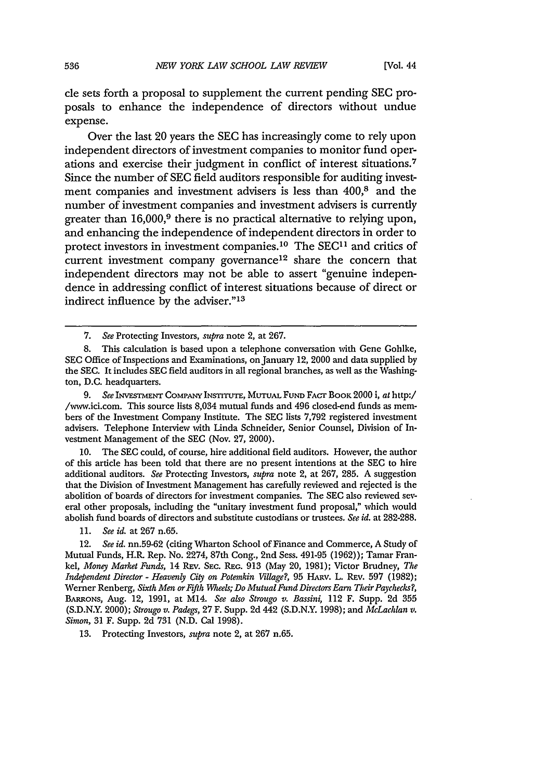cle sets forth a proposal to supplement the current pending SEC proposals to enhance the independence of directors without undue expense.

Over the last 20 years the SEC has increasingly come to rely upon independent directors of investment companies to monitor fund operations and exercise their judgment in conflict of interest situations.<sup>7</sup> Since the number of SEC field auditors responsible for auditing investment companies and investment advisers is less than 400,8 and the number of investment companies and investment advisers is currently greater than 16,000,<sup>9</sup> there is no practical alternative to relying upon, and enhancing the independence of independent directors in order to protect investors in investment companies.<sup>10</sup> The SEC<sup>11</sup> and critics of current investment company governance<sup>12</sup> share the concern that independent directors may not be able to assert "genuine independence in addressing conflict of interest situations because of direct or indirect influence by the adviser."<sup>13</sup>

7. *See* Protecting Investors, *supra* note 2, at 267.

**9.** *See* INVEsrMENT COMPANY **INSTITUTE,** MuruAL FuND **FACT** BOOK 2000 i, at http:/ /www.ici.com. This source lists 8,034 mutual funds and 496 closed-end funds as members of the Investment Company Institute. The SEC lists 7,792 registered investment advisers. Telephone Interview with Linda Schneider, Senior Counsel, Division of Investment Management of the **SEC** (Nov. **27,** 2000).

**10.** The SEC could, of course, hire additional field auditors. However, the author of this article has been told that there are no present intentions at the **SEC** to hire additional auditors. *See* Protecting Investors, *supra* note 2, at 267, 285. A suggestion that the Division of Investment Management has carefully reviewed and rejected is the abolition of boards of directors for investment companies. The SEC also reviewed several other proposals, including the "unitary investment fund proposal," which would abolish fund boards of directors and substitute custodians or trustees. *See id.* at 282-288.

11. *See id.* at 267 n.65.

*12. See id.* nn.59-62 (citing Wharton School of Finance and Commerce, A Study of Mutual Funds, H.R\_ Rep. No. 2274, 87th Cong., 2nd Sess. 491-95 (1962)); Tamar Frankel, *Money Market Funds,* 14 REV. **SEC. REG.** 913 (May 20, 1981); Victor Brudney, *The Independent Director* **-** *Heavenly City on Potemkin Village?,* 95 HARv. L. REv. **597** (1982); Werner Renberg, *Sixth Men orFifth Wheels; Do Mutual Fund Directors Earn Their Paychecks?,* BARuONs, Aug. 12, 1991, at M14. *See also Strougo v. Bassini,* 112 F. Supp. 2d 355 (S.D.N.Y. 2000); *Strougo v. Padegs,* 27 F. Supp. 2d 442 (S.D.N.Y. 1998); and *McLachlan v. Simon,* 31 F. Supp. 2d 731 (N.D. Cal 1998).

13. Protecting Investors, supra note 2, at 267 n.65.

<sup>8.</sup> This calculation is based upon a telephone conversation with Gene Goblke, SEC Office of Inspections and Examinations, on January 12, 2000 and data supplied by the SEC. It includes **SEC** field auditors in all regional branches, as well as the Washington, D.C. headquarters.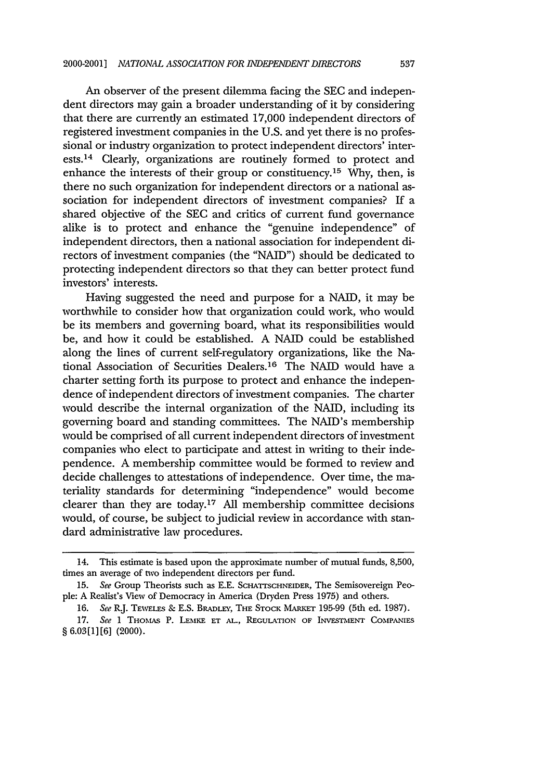An observer of the present dilemma facing the SEC and independent directors may gain a broader understanding of it by considering that there are currently an estimated 17,000 independent directors of registered investment companies in the U.S. and yet there is no professional or industry organization to protect independent directors' interests. 14 Clearly, organizations are routinely formed to protect and enhance the interests of their group or constituency.<sup>15</sup> Why, then, is there no such organization for independent directors or a national association for independent directors of investment companies? If a shared objective of the SEC and critics of current fund governance alike is to protect and enhance the "genuine independence" of independent directors, then a national association for independent directors of investment companies (the "NAID") should be dedicated to protecting independent directors so that they can better protect fund investors' interests.

Having suggested the need and purpose for a NAID, it may be worthwhile to consider how that organization could work, who would be its members and governing board, what its responsibilities would be, and how it could be established. A NAID could be established along the lines of current self-regulatory organizations, like the National Association of Securities Dealers. 16 The NAID would have a charter setting forth its purpose to protect and enhance the independence of independent directors of investment companies. The charter would describe the internal organization of the NAID, including its governing board and standing committees. The NAID's membership would be comprised of all current independent directors of investment companies who elect to participate and attest in writing to their independence. A membership committee would be formed to review and decide challenges to attestations of independence. Over time, the materiality standards for determining "independence" would become clearer than they are today. 17 All membership committee decisions would, of course, be subject to judicial review in accordance with standard administrative law procedures.

<sup>14.</sup> This estimate is based upon the approximate number of mutual funds, 8,500, times an average of two independent directors per fund.

<sup>15.</sup> *See* Group Theorists such as E.E. **SCHATTSCHNEIDER,** The Semisovereign People: A Realist's View of Democracy in America (Dryden Press 1975) and others.

<sup>16.</sup> *See* R.J. TEWELEs & E.S. BRADLEY, THE STOCK MARKET 195-99 (5th ed. 1987).

<sup>17.</sup> *See* 1 THOMAS P. LEMKE **ET AL.,** REGULATION OF **INVESTMENT** COMPANIES § 6.03[1][6] (2000).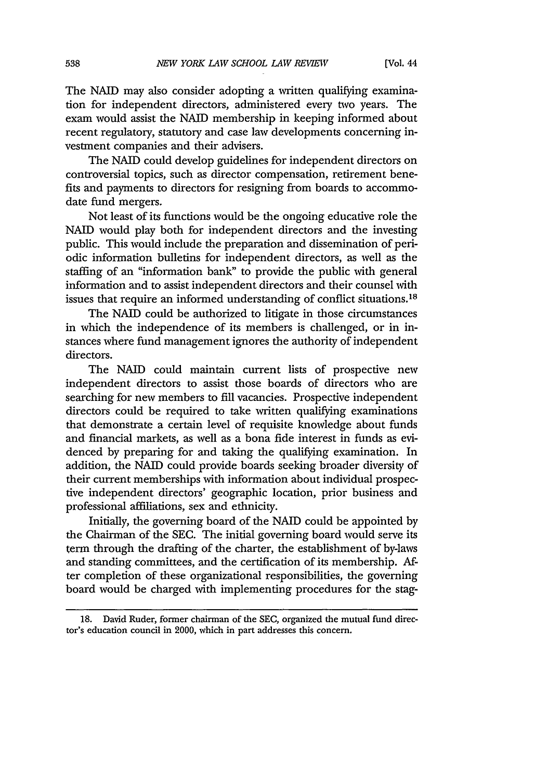The NAID may also consider adopting a written qualifying examination for independent directors, administered every two years. The exam would assist the NAID membership in keeping informed about recent regulatory, statutory and case law developments concerning investment companies and their advisers.

The NAID could develop guidelines for independent directors on controversial topics, such as director compensation, retirement benefits and payments to directors for resigning from boards to accommodate fund mergers.

Not least of its functions would be the ongoing educative role the NAID would play both for independent directors and the investing public. This would include the preparation and dissemination of periodic information bulletins for independent directors, as well as the staffing of an "information bank" to provide the public with general information and to assist independent directors and their counsel with issues that require an informed understanding of conflict situations. <sup>18</sup>

The NAID could be authorized to litigate in those circumstances in which the independence of its members is challenged, or in instances where fund management ignores the authority of independent directors.

The NAID could maintain current lists of prospective new independent directors to assist those boards of directors who are searching for new members to fill vacancies. Prospective independent directors could be required to take written qualifying examinations that demonstrate a certain level of requisite knowledge about funds and financial markets, as well as a bona fide interest in funds as evidenced by preparing for and taking the qualifying examination. In addition, the NAID could provide boards seeking broader diversity of their current memberships with information about individual prospective independent directors' geographic location, prior business and professional affiliations, sex and ethnicity.

Initially, the governing board of the NAID could be appointed by the Chairman of the SEC. The initial governing board would serve its term through the drafting of the charter, the establishment of by-laws and standing committees, and the certification of its membership. After completion of these organizational responsibilities, the governing board would be charged with implementing procedures for the stag-

<sup>18.</sup> David Ruder, former chairman of the SEC, organized the mutual fund director's education council in 2000, which in part addresses this concern.